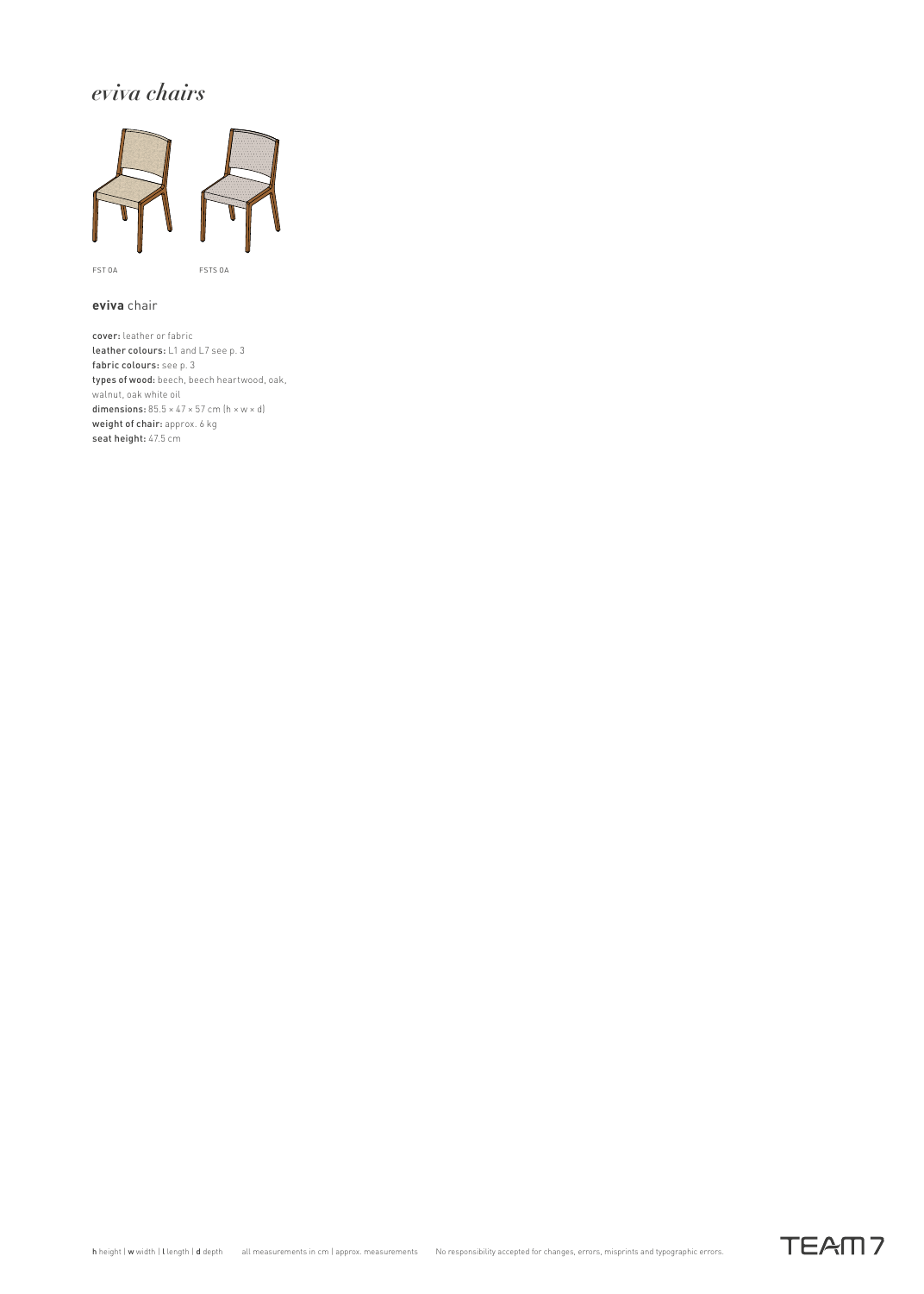### *eviva chairs*



#### **eviva** chair

cover: leather or fabric leather colours: L1 and L7 see p. 3 fabric colours: see p. 3 types of wood: beech, beech heartwood, oak, walnut, oak white oil dimensions:  $85.5 \times 47 \times 57$  cm  $[h \times w \times d]$ weight of chair: approx. 6 kg seat height: 47.5 cm

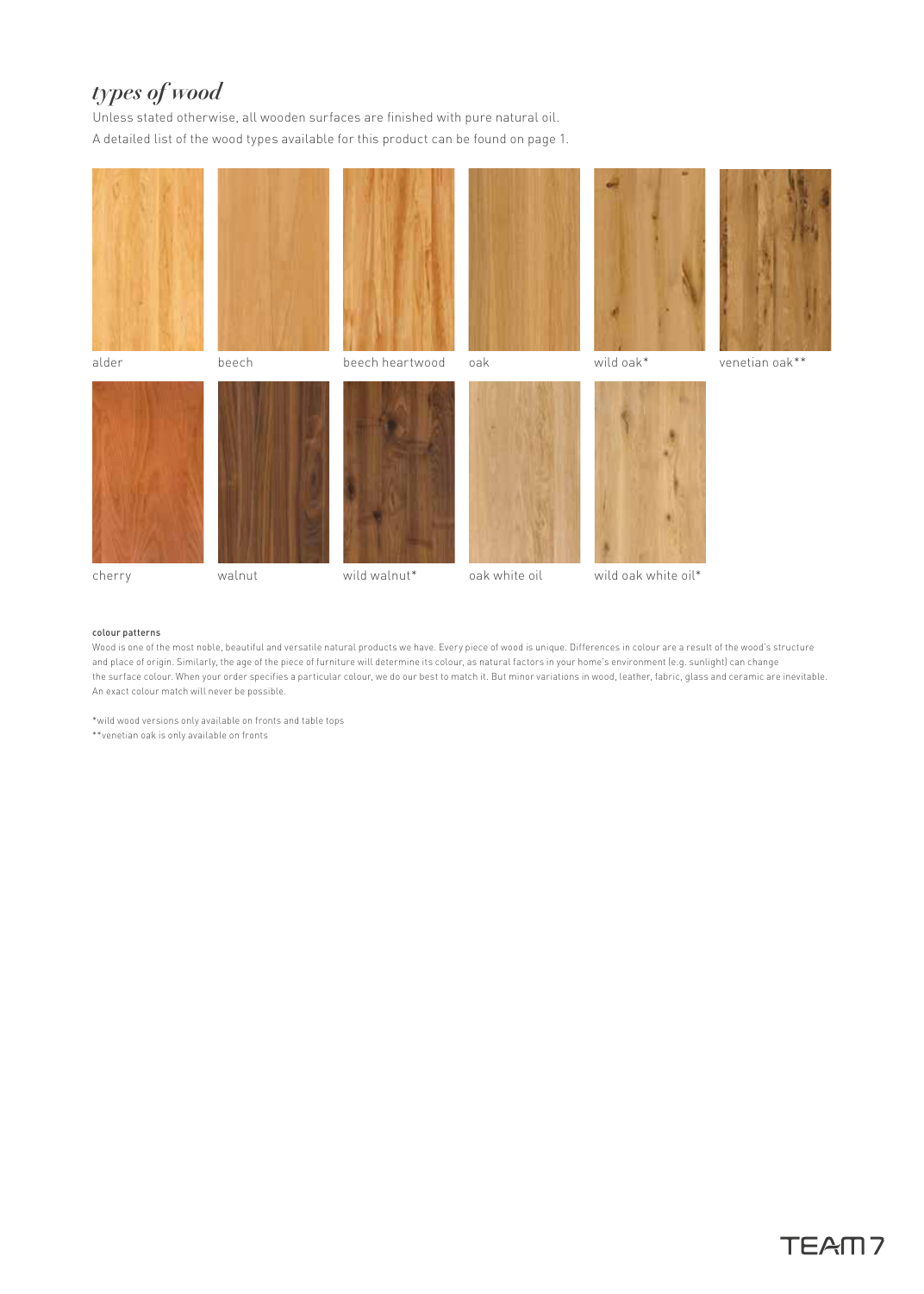## *types of wood*

Unless stated otherwise, all wooden surfaces are finished with pure natural oil. A detailed list of the wood types available for this product can be found on page 1.



cherry

walnut

wild oak white oil\*

#### colour patterns

Wood is one of the most noble, beautiful and versatile natural products we have. Every piece of wood is unique. Differences in colour are a result of the wood's structure and place of origin. Similarly, the age of the piece of furniture will determine its colour, as natural factors in your home's environment (e.g. sunlight) can change the surface colour. When your order specifies a particular colour, we do our best to match it. But minor variations in wood, leather, fabric, glass and ceramic are inevitable. An exact colour match will never be possible.

\*wild wood versions only available on fronts and table tops

\*\*venetian oak is only available on fronts